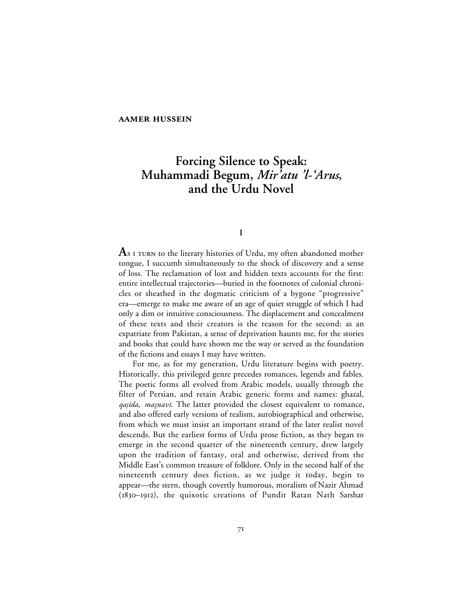## **AAMER HUSSEIN**

# **Forcing Silence to Speak: Muhammadi Begum,** *Mir'atu 'l-'Arus***, and the Urdu Novel**

# **I**

**A**s I TURN to the literary histories of Urdu, my often abandoned mother tongue, I succumb simultaneously to the shock of discovery and a sense of loss. The reclamation of lost and hidden texts accounts for the first: entire intellectual trajectories—buried in the footnotes of colonial chronicles or sheathed in the dogmatic criticism of a bygone "progressive" era—emerge to make me aware of an age of quiet struggle of which I had only a dim or intuitive consciousness. The displacement and concealment of these texts and their creators is the reason for the second: as an expatriate from Pakistan, a sense of deprivation haunts me, for the stories and books that could have shown me the way or served as the foundation of the fictions and essays I may have written.

For me, as for my generation, Urdu literature begins with poetry. Historically, this privileged genre precedes romances, legends and fables. The poetic forms all evolved from Arabic models, usually through the filter of Persian, and retain Arabic generic forms and names: ghazal, qașida, mașnavi. The latter provided the closest equivalent to romance, and also offered early versions of realism, autobiographical and otherwise, from which we must insist an important strand of the later realist novel descends. But the earliest forms of Urdu prose fiction, as they began to emerge in the second quarter of the nineteenth century, drew largely upon the tradition of fantasy, oral and otherwise, derived from the Middle East's common treasure of folklore. Only in the second half of the nineteenth century does fiction, as we judge it today, begin to appear—the stern, though covertly humorous, moralism of Nazir Ahmad (1830-1912), the quixotic creations of Pundit Ratan Nath Sarshar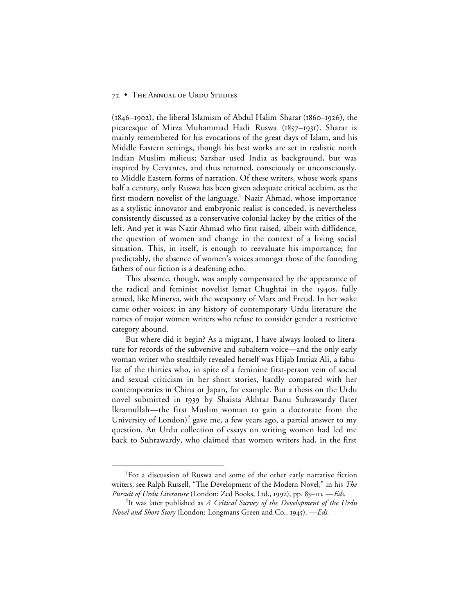$(1846 - 1902)$ , the liberal Islamism of Abdul Halim Sharar (1860–1926), the picaresque of Mirza Muhammad Hadi Ruswa (1857-1931). Sharar is mainly remembered for his evocations of the great days of Islam, and his Middle Eastern settings, though his best works are set in realistic north Indian Muslim milieus; Sarshar used India as background, but was inspired by Cervantes, and thus returned, consciously or unconsciously, to Middle Eastern forms of narration. Of these writers, whose work spans half a century, only Ruswa has been given adequate critical acclaim, as the first modern novelist of the language.<sup>1</sup> Nazir Ahmad, whose importance as a stylistic innovator and embryonic realist is conceded, is nevertheless consistently discussed as a conservative colonial lackey by the critics of the left. And yet it was Nazir Ahmad who first raised, albeit with diffidence, the question of women and change in the context of a living social situation. This, in itself, is enough to reevaluate his importance; for predictably, the absence of women's voices amongst those of the founding fathers of our fiction is a deafening echo.

This absence, though, was amply compensated by the appearance of the radical and feminist novelist Ismat Chughtai in the 1940s, fully armed, like Minerva, with the weaponry of Marx and Freud. In her wake came other voices; in any history of contemporary Urdu literature the names of major women writers who refuse to consider gender a restrictive category abound.

But where did it begin? As a migrant, I have always looked to literature for records of the subversive and subaltern voice—and the only early woman writer who stealthily revealed herself was Hijab Imtiaz Ali, a fabulist of the thirties who, in spite of a feminine first-person vein of social and sexual criticism in her short stories, hardly compared with her contemporaries in China or Japan, for example. But a thesis on the Urdu novel submitted in 1939 by Shaista Akhtar Banu Suhrawardy (later Ikramullah—the first Muslim woman to gain a doctorate from the University of London)<sup>2</sup> gave me, a few years ago, a partial answer to my question. An Urdu collection of essays on writing women had led me back to Suhrawardy, who claimed that women writers had, in the first

 <sup>1</sup> For a discussion of Ruswa and some of the other early narrative fiction writers, see Ralph Russell, "The Development of the Modern Novel," in his *The* Pursuit of Urdu Literature (London: Zed Books, Ltd., 1992), pp. 83-111. - Eds.

<sup>2</sup> It was later published as *A Critical Survey of the Development of the Urdu Novel and Short Story* (London: Longmans Green and Co., 1945). — *Eds.*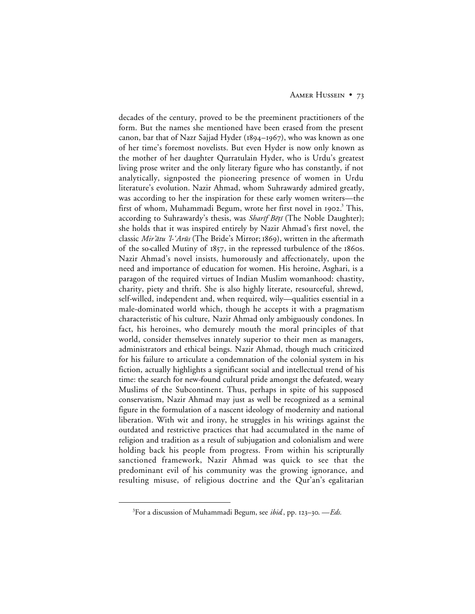## AAMER HUSSEIN • 73

decades of the century, proved to be the preeminent practitioners of the form. But the names she mentioned have been erased from the present canon, bar that of Nazr Sajjad Hyder ( $1894-1967$ ), who was known as one of her time's foremost novelists. But even Hyder is now only known as the mother of her daughter Qurratulain Hyder, who is Urdu's greatest living prose writer and the only literary figure who has constantly, if not analytically, signposted the pioneering presence of women in Urdu literature's evolution. Nazir Ahmad, whom Suhrawardy admired greatly, was according to her the inspiration for these early women writers—the first of whom, Muhammadi Begum, wrote her first novel in 1902. $^3$  This, according to Suhrawardy's thesis, was *Sharif Bētī* (The Noble Daughter); she holds that it was inspired entirely by Nazir Ahmad's first novel, the classic Mir'ātu 'l-'Arūs (The Bride's Mirror; 1869), written in the aftermath of the so-called Mutiny of  $1857$ , in the repressed turbulence of the  $1860s$ . Nazir Ahmad's novel insists, humorously and affectionately, upon the need and importance of education for women. His heroine, Asghari, is a paragon of the required virtues of Indian Muslim womanhood: chastity, charity, piety and thrift. She is also highly literate, resourceful, shrewd, self-willed, independent and, when required, wily—qualities essential in a male-dominated world which, though he accepts it with a pragmatism characteristic of his culture, Nazir Ahmad only ambiguously condones. In fact, his heroines, who demurely mouth the moral principles of that world, consider themselves innately superior to their men as managers, administrators and ethical beings. Nazir Ahmad, though much criticized for his failure to articulate a condemnation of the colonial system in his fiction, actually highlights a significant social and intellectual trend of his time: the search for new-found cultural pride amongst the defeated, weary Muslims of the Subcontinent. Thus, perhaps in spite of his supposed conservatism, Nazir Ahmad may just as well be recognized as a seminal figure in the formulation of a nascent ideology of modernity and national liberation. With wit and irony, he struggles in his writings against the outdated and restrictive practices that had accumulated in the name of religion and tradition as a result of subjugation and colonialism and were holding back his people from progress. From within his scripturally sanctioned framework, Nazir Ahmad was quick to see that the predominant evil of his community was the growing ignorance, and resulting misuse, of religious doctrine and the Qur'an's egalitarian

 $\frac{1}{3}$ <sup>3</sup> For a discussion of Muhammadi Begum, see *ibid*, pp. 123–30. — *Eds*.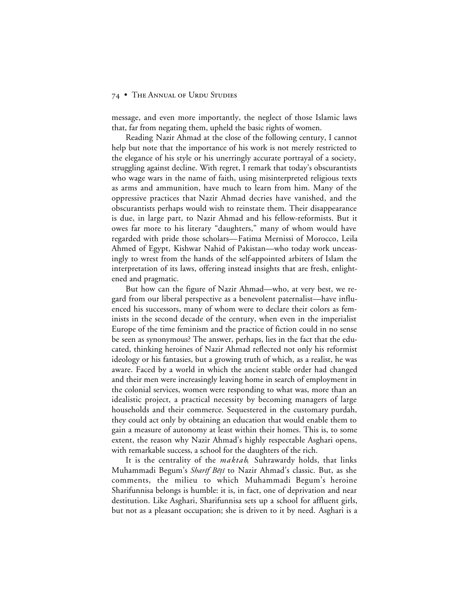message, and even more importantly, the neglect of those Islamic laws that, far from negating them, upheld the basic rights of women.

Reading Nazir Ahmad at the close of the following century, I cannot help but note that the importance of his work is not merely restricted to the elegance of his style or his unerringly accurate portrayal of a society, struggling against decline. With regret, I remark that today's obscurantists who wage wars in the name of faith, using misinterpreted religious texts as arms and ammunition, have much to learn from him. Many of the oppressive practices that Nazir Ahmad decries have vanished, and the obscurantists perhaps would wish to reinstate them. Their disappearance is due, in large part, to Nazir Ahmad and his fellow-reformists. But it owes far more to his literary "daughters," many of whom would have regarded with pride those scholars—Fatima Mernissi of Morocco, Leila Ahmed of Egypt, Kishwar Nahid of Pakistan—who today work unceasingly to wrest from the hands of the self-appointed arbiters of Islam the interpretation of its laws, offering instead insights that are fresh, enlightened and pragmatic.

But how can the figure of Nazir Ahmad—who, at very best, we regard from our liberal perspective as a benevolent paternalist—have influenced his successors, many of whom were to declare their colors as feminists in the second decade of the century, when even in the imperialist Europe of the time feminism and the practice of fiction could in no sense be seen as synonymous? The answer, perhaps, lies in the fact that the educated, thinking heroines of Nazir Ahmad reflected not only his reformist ideology or his fantasies, but a growing truth of which, as a realist, he was aware. Faced by a world in which the ancient stable order had changed and their men were increasingly leaving home in search of employment in the colonial services, women were responding to what was, more than an idealistic project, a practical necessity by becoming managers of large households and their commerce. Sequestered in the customary purdah, they could act only by obtaining an education that would enable them to gain a measure of autonomy at least within their homes. This is, to some extent, the reason why Nazir Ahmad's highly respectable Asghari opens, with remarkable success, a school for the daughters of the rich.

It is the centrality of the *maktab*, Suhrawardy holds, that links Muhammadi Begum's Sharif Bēți to Nazir Ahmad's classic. But, as she comments, the milieu to which Muhammadi Begum's heroine Sharifunnisa belongs is humble: it is, in fact, one of deprivation and near destitution. Like Asghari, Sharifunnisa sets up a school for affluent girls, but not as a pleasant occupation; she is driven to it by need. Asghari is a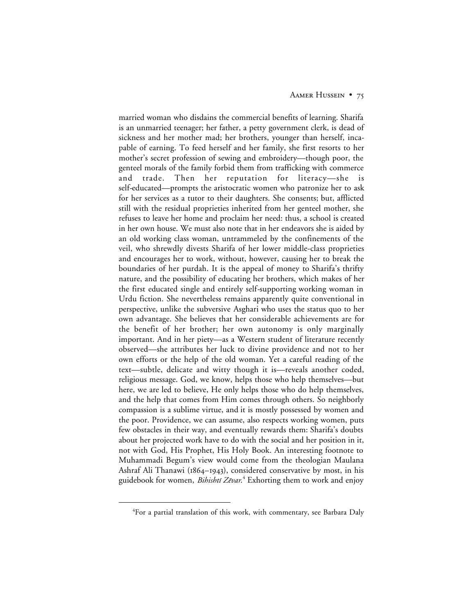### AAMER HUSSEIN • 75

married woman who disdains the commercial benefits of learning. Sharifa is an unmarried teenager; her father, a petty government clerk, is dead of sickness and her mother mad; her brothers, younger than herself, incapable of earning. To feed herself and her family, she first resorts to her mother's secret profession of sewing and embroidery—though poor, the genteel morals of the family forbid them from trafficking with commerce and trade. Then her reputation for literacy—she is self-educated—prompts the aristocratic women who patronize her to ask for her services as a tutor to their daughters. She consents; but, afflicted still with the residual proprieties inherited from her genteel mother, she refuses to leave her home and proclaim her need: thus, a school is created in her own house. We must also note that in her endeavors she is aided by an old working class woman, untrammeled by the confinements of the veil, who shrewdly divests Sharifa of her lower middle-class proprieties and encourages her to work, without, however, causing her to break the boundaries of her purdah. It is the appeal of money to Sharifa's thrifty nature, and the possibility of educating her brothers, which makes of her the first educated single and entirely self-supporting working woman in Urdu fiction. She nevertheless remains apparently quite conventional in perspective, unlike the subversive Asghari who uses the status quo to her own advantage. She believes that her considerable achievements are for the benefit of her brother; her own autonomy is only marginally important. And in her piety—as a Western student of literature recently observed—she attributes her luck to divine providence and not to her own efforts or the help of the old woman. Yet a careful reading of the text—subtle, delicate and witty though it is—reveals another coded, religious message. God, we know, helps those who help themselves—but here, we are led to believe, He only helps those who do help themselves, and the help that comes from Him comes through others. So neighborly compassion is a sublime virtue, and it is mostly possessed by women and the poor. Providence, we can assume, also respects working women, puts few obstacles in their way, and eventually rewards them: Sharifa's doubts about her projected work have to do with the social and her position in it, not with God, His Prophet, His Holy Book. An interesting footnote to Muhammadi Begum's view would come from the theologian Maulana Ashraf Ali Thanawi ( $1864-1943$ ), considered conservative by most, in his guidebook for women, *Bihishtī Zēvar*.<sup>4</sup> Exhorting them to work and enjoy

 $\overline{4}$  ${}^{4}$ For a partial translation of this work, with commentary, see Barbara Daly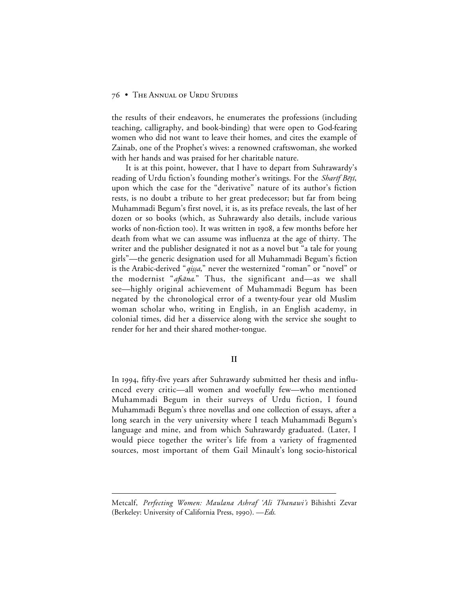the results of their endeavors, he enumerates the professions (including teaching, calligraphy, and book-binding) that were open to God-fearing women who did not want to leave their homes, and cites the example of Zainab, one of the Prophet's wives: a renowned craftswoman, she worked with her hands and was praised for her charitable nature.

It is at this point, however, that I have to depart from Suhrawardy's reading of Urdu fiction's founding mother's writings. For the Sharif Bētī, upon which the case for the "derivative" nature of its author's fiction rests, is no doubt a tribute to her great predecessor; but far from being Muhammadi Begum's first novel, it is, as its preface reveals, the last of her dozen or so books (which, as Suhrawardy also details, include various works of non-fiction too). It was written in 1908, a few months before her death from what we can assume was influenza at the age of thirty. The writer and the publisher designated it not as a novel but "a tale for young girls"—the generic designation used for all Muhammadi Begum's fiction is the Arabic-derived "qiṣṣa," never the westernized "roman" or "novel" or the modernist "*afsāna*." Thus, the significant and—as we shall see—highly original achievement of Muhammadi Begum has been negated by the chronological error of a twenty-four year old Muslim woman scholar who, writing in English, in an English academy, in colonial times, did her a disservice along with the service she sought to render for her and their shared mother-tongue.

**II**

In 1994, fifty-five years after Suhrawardy submitted her thesis and influenced every critic—all women and woefully few—who mentioned Muhammadi Begum in their surveys of Urdu fiction, I found Muhammadi Begum's three novellas and one collection of essays, after a long search in the very university where I teach Muhammadi Begum's language and mine, and from which Suhrawardy graduated. (Later, I would piece together the writer's life from a variety of fragmented sources, most important of them Gail Minault's long socio-historical

 $\overline{a}$ 

Metcalf, *Perfecting Women: Maulana Ashraf 'Ali Thanawi's* Bihishti Zevar (Berkeley: University of California Press, 1990). - Eds.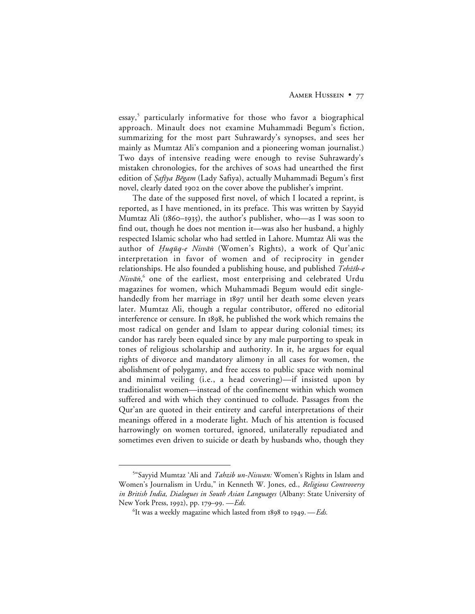## AAMER HUSSEIN • 77

essay,<sup>5</sup> particularly informative for those who favor a biographical approach. Minault does not examine Muhammadi Begum's fiction, summarizing for the most part Suhrawardy's synopses, and sees her mainly as Mumtaz Ali's companion and a pioneering woman journalist.) Two days of intensive reading were enough to revise Suhrawardy's mistaken chronologies, for the archives of soas had unearthed the first edition of *Ṣafīya Bēgam* (Lady Safiya), actually Muhammadi Begum's first novel, clearly dated 1902 on the cover above the publisher's imprint.

The date of the supposed first novel, of which I located a reprint, is reported, as I have mentioned, in its preface. This was written by Sayyid Mumtaz Ali ( $1860-1935$ ), the author's publisher, who—as I was soon to find out, though he does not mention it—was also her husband, a highly respected Islamic scholar who had settled in Lahore. Mumtaz Ali was the author of *Huqūq-e Nisvān* (Women's Rights), a work of Qur'anic interpretation in favor of women and of reciprocity in gender relationships. He also founded a publishing house, and published Tehżīb-e Nisvan,<sup>6</sup> one of the earliest, most enterprising and celebrated Urdu magazines for women, which Muhammadi Begum would edit singlehandedly from her marriage in 1897 until her death some eleven years later. Mumtaz Ali, though a regular contributor, offered no editorial interference or censure. In 1898, he published the work which remains the most radical on gender and Islam to appear during colonial times; its candor has rarely been equaled since by any male purporting to speak in tones of religious scholarship and authority. In it, he argues for equal rights of divorce and mandatory alimony in all cases for women, the abolishment of polygamy, and free access to public space with nominal and minimal veiling (i.e., a head covering)—if insisted upon by traditionalist women—instead of the confinement within which women suffered and with which they continued to collude. Passages from the Qur'an are quoted in their entirety and careful interpretations of their meanings offered in a moderate light. Much of his attention is focused harrowingly on women tortured, ignored, unilaterally repudiated and sometimes even driven to suicide or death by husbands who, though they

 $rac{1}{5}$ <sup>5</sup>"Sayyid Mumtaz 'Ali and *Tahzib un-Niswan:* Women's Rights in Islam and Women's Journalism in Urdu," in Kenneth W. Jones, ed., *Religious Controversy in British India, Dialogues in South Asian Languages* (Albany: State University of New York Press, 1992), pp. 179-99. -*Eds.* 

 $^6$ It was a weekly magazine which lasted from 1898 to 1949. — Eds.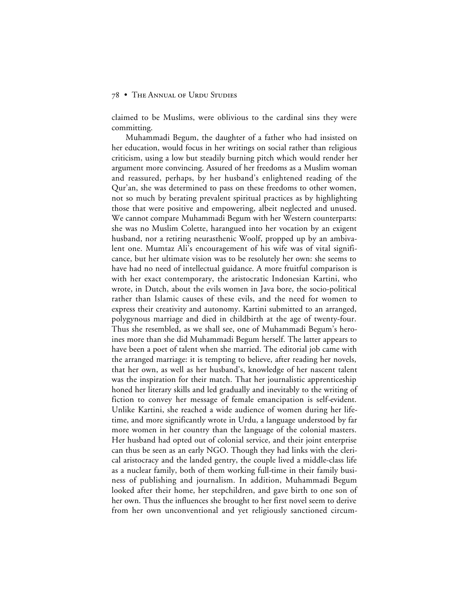claimed to be Muslims, were oblivious to the cardinal sins they were committing.

Muhammadi Begum, the daughter of a father who had insisted on her education, would focus in her writings on social rather than religious criticism, using a low but steadily burning pitch which would render her argument more convincing. Assured of her freedoms as a Muslim woman and reassured, perhaps, by her husband's enlightened reading of the Qur'an, she was determined to pass on these freedoms to other women, not so much by berating prevalent spiritual practices as by highlighting those that were positive and empowering, albeit neglected and unused. We cannot compare Muhammadi Begum with her Western counterparts: she was no Muslim Colette, harangued into her vocation by an exigent husband, nor a retiring neurasthenic Woolf, propped up by an ambivalent one. Mumtaz Ali's encouragement of his wife was of vital significance, but her ultimate vision was to be resolutely her own: she seems to have had no need of intellectual guidance. A more fruitful comparison is with her exact contemporary, the aristocratic Indonesian Kartini, who wrote, in Dutch, about the evils women in Java bore, the socio-political rather than Islamic causes of these evils, and the need for women to express their creativity and autonomy. Kartini submitted to an arranged, polygynous marriage and died in childbirth at the age of twenty-four. Thus she resembled, as we shall see, one of Muhammadi Begum's heroines more than she did Muhammadi Begum herself. The latter appears to have been a poet of talent when she married. The editorial job came with the arranged marriage: it is tempting to believe, after reading her novels, that her own, as well as her husband's, knowledge of her nascent talent was the inspiration for their match. That her journalistic apprenticeship honed her literary skills and led gradually and inevitably to the writing of fiction to convey her message of female emancipation is self-evident. Unlike Kartini, she reached a wide audience of women during her lifetime, and more significantly wrote in Urdu, a language understood by far more women in her country than the language of the colonial masters. Her husband had opted out of colonial service, and their joint enterprise can thus be seen as an early NGO. Though they had links with the clerical aristocracy and the landed gentry, the couple lived a middle-class life as a nuclear family, both of them working full-time in their family business of publishing and journalism. In addition, Muhammadi Begum looked after their home, her stepchildren, and gave birth to one son of her own. Thus the influences she brought to her first novel seem to derive from her own unconventional and yet religiously sanctioned circum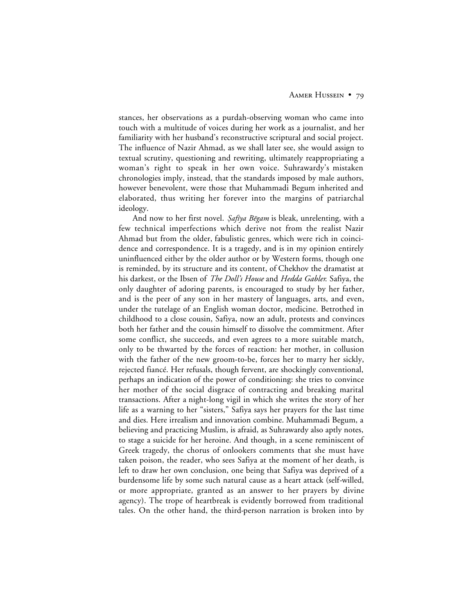stances, her observations as a purdah-observing woman who came into touch with a multitude of voices during her work as a journalist, and her familiarity with her husband's reconstructive scriptural and social project. The influence of Nazir Ahmad, as we shall later see, she would assign to textual scrutiny, questioning and rewriting, ultimately reappropriating a woman's right to speak in her own voice. Suhrawardy's mistaken chronologies imply, instead, that the standards imposed by male authors, however benevolent, were those that Muhammadi Begum inherited and elaborated, thus writing her forever into the margins of patriarchal ideology.

And now to her first novel. *Şafiya Bēgam* is bleak, unrelenting, with a few technical imperfections which derive not from the realist Nazir Ahmad but from the older, fabulistic genres, which were rich in coincidence and correspondence. It is a tragedy, and is in my opinion entirely uninfluenced either by the older author or by Western forms, though one is reminded, by its structure and its content, of Chekhov the dramatist at his darkest, or the Ibsen of *The Doll's House* and *Hedda Gabler*. Safiya, the only daughter of adoring parents, is encouraged to study by her father, and is the peer of any son in her mastery of languages, arts, and even, under the tutelage of an English woman doctor, medicine. Betrothed in childhood to a close cousin, Safiya, now an adult, protests and convinces both her father and the cousin himself to dissolve the commitment. After some conflict, she succeeds, and even agrees to a more suitable match, only to be thwarted by the forces of reaction: her mother, in collusion with the father of the new groom-to-be, forces her to marry her sickly, rejected fiancé. Her refusals, though fervent, are shockingly conventional, perhaps an indication of the power of conditioning: she tries to convince her mother of the social disgrace of contracting and breaking marital transactions. After a night-long vigil in which she writes the story of her life as a warning to her "sisters," Safiya says her prayers for the last time and dies. Here irrealism and innovation combine. Muhammadi Begum, a believing and practicing Muslim, is afraid, as Suhrawardy also aptly notes, to stage a suicide for her heroine. And though, in a scene reminiscent of Greek tragedy, the chorus of onlookers comments that she must have taken poison, the reader, who sees Safiya at the moment of her death, is left to draw her own conclusion, one being that Safiya was deprived of a burdensome life by some such natural cause as a heart attack (self-willed, or more appropriate, granted as an answer to her prayers by divine agency). The trope of heartbreak is evidently borrowed from traditional tales. On the other hand, the third-person narration is broken into by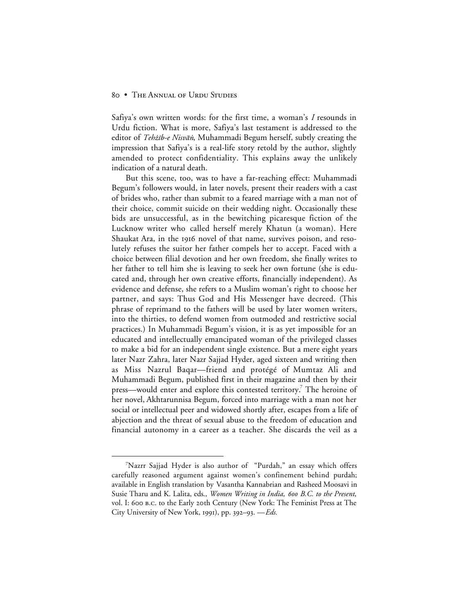Safiya's own written words: for the first time, a woman's *I* resounds in Urdu fiction. What is more, Safiya's last testament is addressed to the editor of Tehżib-e Nisvān, Muhammadi Begum herself, subtly creating the impression that Safiya's is a real-life story retold by the author, slightly amended to protect confidentiality. This explains away the unlikely indication of a natural death.

But this scene, too, was to have a far-reaching effect: Muhammadi Begum's followers would, in later novels, present their readers with a cast of brides who, rather than submit to a feared marriage with a man not of their choice, commit suicide on their wedding night. Occasionally these bids are unsuccessful, as in the bewitching picaresque fiction of the Lucknow writer who called herself merely Khatun (a woman). Here Shaukat Ara, in the 1916 novel of that name, survives poison, and resolutely refuses the suitor her father compels her to accept. Faced with a choice between filial devotion and her own freedom, she finally writes to her father to tell him she is leaving to seek her own fortune (she is educated and, through her own creative efforts, financially independent). As evidence and defense, she refers to a Muslim woman's right to choose her partner, and says: Thus God and His Messenger have decreed. (This phrase of reprimand to the fathers will be used by later women writers, into the thirties, to defend women from outmoded and restrictive social practices.) In Muhammadi Begum's vision, it is as yet impossible for an educated and intellectually emancipated woman of the privileged classes to make a bid for an independent single existence. But a mere eight years later Nazr Zahra, later Nazr Sajjad Hyder, aged sixteen and writing then as Miss Nazrul Baqar—friend and protégé of Mumtaz Ali and Muhammadi Begum, published first in their magazine and then by their press—would enter and explore this contested territory.<sup>7</sup> The heroine of her novel, Akhtarunnisa Begum, forced into marriage with a man not her social or intellectual peer and widowed shortly after, escapes from a life of abjection and the threat of sexual abuse to the freedom of education and financial autonomy in a career as a teacher. She discards the veil as a

 $\frac{1}{7}$ Nazrr Sajjad Hyder is also author of "Purdah," an essay which offers carefully reasoned argument against women's confinement behind purdah; available in English translation by Vasantha Kannabrian and Rasheed Moosavi in Susie Tharu and K. Lalita, eds., *Women Writing in India, 600 B.C. to the Present*, vol. I: 600 B.C. to the Early 20th Century (New York: The Feminist Press at The City University of New York, 1991), pp. 392–93. — *Eds.*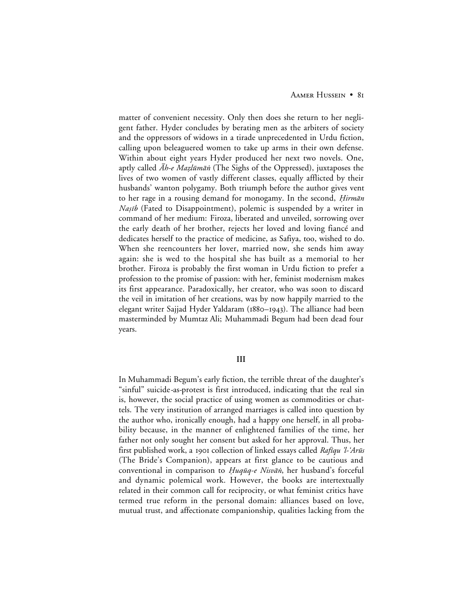matter of convenient necessity. Only then does she return to her negligent father. Hyder concludes by berating men as the arbiters of society and the oppressors of widows in a tirade unprecedented in Urdu fiction, calling upon beleaguered women to take up arms in their own defense. Within about eight years Hyder produced her next two novels. One, aptly called  $\bar{A}h$ -e Mazlūmān (The Sighs of the Oppressed), juxtaposes the lives of two women of vastly different classes, equally afflicted by their husbands' wanton polygamy. Both triumph before the author gives vent to her rage in a rousing demand for monogamy. In the second, *Hirmān Naṣīb* (Fated to Disappointment), polemic is suspended by a writer in command of her medium: Firoza, liberated and unveiled, sorrowing over the early death of her brother, rejects her loved and loving fiancé and dedicates herself to the practice of medicine, as Safiya, too, wished to do. When she reencounters her lover, married now, she sends him away again: she is wed to the hospital she has built as a memorial to her brother. Firoza is probably the first woman in Urdu fiction to prefer a profession to the promise of passion: with her, feminist modernism makes its first appearance. Paradoxically, her creator, who was soon to discard the veil in imitation of her creations, was by now happily married to the elegant writer Sajjad Hyder Yaldaram (1880–1943). The alliance had been masterminded by Mumtaz Ali; Muhammadi Begum had been dead four years.

# **III**

In Muhammadi Begum's early fiction, the terrible threat of the daughter's "sinful" suicide-as-protest is first introduced, indicating that the real sin is, however, the social practice of using women as commodities or chattels. The very institution of arranged marriages is called into question by the author who, ironically enough, had a happy one herself, in all probability because, in the manner of enlightened families of the time, her father not only sought her consent but asked for her approval. Thus, her first published work, a 1901 collection of linked essays called *Rafiqu 'l-'Arūs* (The Bride's Companion), appears at first glance to be cautious and conventional in comparison to Huqūq-e Nisvān, her husband's forceful and dynamic polemical work. However, the books are intertextually related in their common call for reciprocity, or what feminist critics have termed true reform in the personal domain: alliances based on love, mutual trust, and affectionate companionship, qualities lacking from the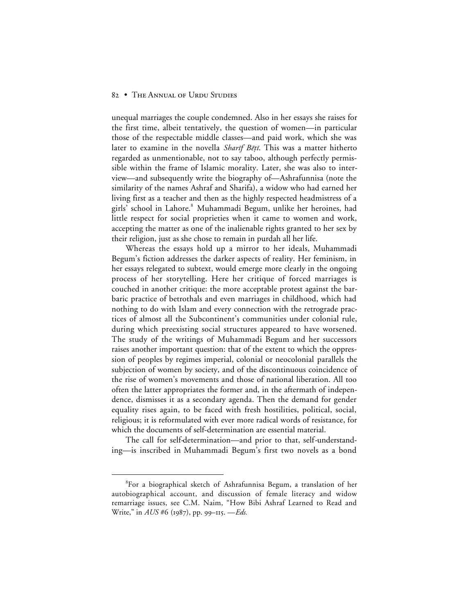unequal marriages the couple condemned. Also in her essays she raises for the first time, albeit tentatively, the question of women—in particular those of the respectable middle classes—and paid work, which she was later to examine in the novella *Sharif Bēti*. This was a matter hitherto regarded as unmentionable, not to say taboo, although perfectly permissible within the frame of Islamic morality. Later, she was also to interview—and subsequently write the biography of—Ashrafunnisa (note the similarity of the names Ashraf and Sharifa), a widow who had earned her living first as a teacher and then as the highly respected headmistress of a girls' school in Lahore.<sup>8</sup> Muhammadi Begum, unlike her heroines, had little respect for social proprieties when it came to women and work, accepting the matter as one of the inalienable rights granted to her sex by their religion, just as she chose to remain in purdah all her life.

Whereas the essays hold up a mirror to her ideals, Muhammadi Begum's fiction addresses the darker aspects of reality. Her feminism, in her essays relegated to subtext, would emerge more clearly in the ongoing process of her storytelling. Here her critique of forced marriages is couched in another critique: the more acceptable protest against the barbaric practice of betrothals and even marriages in childhood, which had nothing to do with Islam and every connection with the retrograde practices of almost all the Subcontinent's communities under colonial rule, during which preexisting social structures appeared to have worsened. The study of the writings of Muhammadi Begum and her successors raises another important question: that of the extent to which the oppression of peoples by regimes imperial, colonial or neocolonial parallels the subjection of women by society, and of the discontinuous coincidence of the rise of women's movements and those of national liberation. All too often the latter appropriates the former and, in the aftermath of independence, dismisses it as a secondary agenda. Then the demand for gender equality rises again, to be faced with fresh hostilities, political, social, religious; it is reformulated with ever more radical words of resistance, for which the documents of self-determination are essential material.

The call for self-determination—and prior to that, self-understanding—is inscribed in Muhammadi Begum's first two novels as a bond

 <sup>8</sup> For a biographical sketch of Ashrafunnisa Begum, a translation of her autobiographical account, and discussion of female literacy and widow remarriage issues, see C.M. Naim, "How Bibi Ashraf Learned to Read and Write," in *AUS* #6 (1987), pp. 99–115. —*Eds.*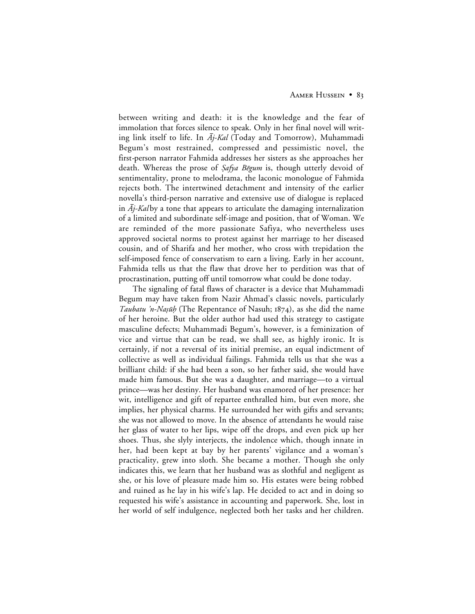between writing and death: it is the knowledge and the fear of immolation that forces silence to speak. Only in her final novel will writing link itself to life. In  $\bar{A}$ *j-Kal* (Today and Tomorrow), Muhammadi Begum's most restrained, compressed and pessimistic novel, the first-person narrator Fahmida addresses her sisters as she approaches her death. Whereas the prose of Safya Bēgum is, though utterly devoid of sentimentality, prone to melodrama, the laconic monologue of Fahmida rejects both. The intertwined detachment and intensity of the earlier novella's third-person narrative and extensive use of dialogue is replaced in  $A_j$ -Kalby a tone that appears to articulate the damaging internalization of a limited and subordinate self-image and position, that of Woman. We are reminded of the more passionate Safiya, who nevertheless uses approved societal norms to protest against her marriage to her diseased cousin, and of Sharifa and her mother, who cross with trepidation the self-imposed fence of conservatism to earn a living. Early in her account, Fahmida tells us that the flaw that drove her to perdition was that of procrastination, putting off until tomorrow what could be done today.

The signaling of fatal flaws of character is a device that Muhammadi Begum may have taken from Nazir Ahmad's classic novels, particularly *Taubatu 'n-Naṣūḥ* (The Repentance of Nasuh; 1874), as she did the name of her heroine. But the older author had used this strategy to castigate masculine defects; Muhammadi Begum's, however, is a feminization of vice and virtue that can be read, we shall see, as highly ironic. It is certainly, if not a reversal of its initial premise, an equal indictment of collective as well as individual failings. Fahmida tells us that she was a brilliant child: if she had been a son, so her father said, she would have made him famous. But she was a daughter, and marriage—to a virtual prince—was her destiny. Her husband was enamored of her presence: her wit, intelligence and gift of repartee enthralled him, but even more, she implies, her physical charms. He surrounded her with gifts and servants; she was not allowed to move. In the absence of attendants he would raise her glass of water to her lips, wipe off the drops, and even pick up her shoes. Thus, she slyly interjects, the indolence which, though innate in her, had been kept at bay by her parents' vigilance and a woman's practicality, grew into sloth. She became a mother. Though she only indicates this, we learn that her husband was as slothful and negligent as she, or his love of pleasure made him so. His estates were being robbed and ruined as he lay in his wife's lap. He decided to act and in doing so requested his wife's assistance in accounting and paperwork. She, lost in her world of self indulgence, neglected both her tasks and her children.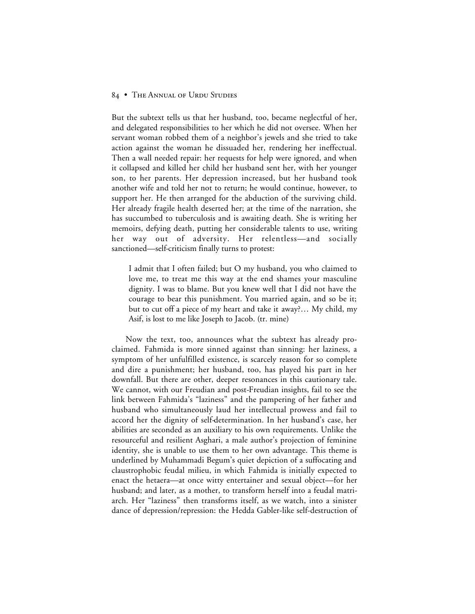But the subtext tells us that her husband, too, became neglectful of her, and delegated responsibilities to her which he did not oversee. When her servant woman robbed them of a neighbor's jewels and she tried to take action against the woman he dissuaded her, rendering her ineffectual. Then a wall needed repair: her requests for help were ignored, and when it collapsed and killed her child her husband sent her, with her younger son, to her parents. Her depression increased, but her husband took another wife and told her not to return; he would continue, however, to support her. He then arranged for the abduction of the surviving child. Her already fragile health deserted her; at the time of the narration, she has succumbed to tuberculosis and is awaiting death. She is writing her memoirs, defying death, putting her considerable talents to use, writing her way out of adversity. Her relentless—and socially sanctioned—self-criticism finally turns to protest:

I admit that I often failed; but O my husband, you who claimed to love me, to treat me this way at the end shames your masculine dignity. I was to blame. But you knew well that I did not have the courage to bear this punishment. You married again, and so be it; but to cut off a piece of my heart and take it away?… My child, my Asif, is lost to me like Joseph to Jacob. (tr. mine)

Now the text, too, announces what the subtext has already proclaimed. Fahmida is more sinned against than sinning: her laziness, a symptom of her unfulfilled existence, is scarcely reason for so complete and dire a punishment; her husband, too, has played his part in her downfall. But there are other, deeper resonances in this cautionary tale. We cannot, with our Freudian and post-Freudian insights, fail to see the link between Fahmida's "laziness" and the pampering of her father and husband who simultaneously laud her intellectual prowess and fail to accord her the dignity of self-determination. In her husband's case, her abilities are seconded as an auxiliary to his own requirements. Unlike the resourceful and resilient Asghari, a male author's projection of feminine identity, she is unable to use them to her own advantage. This theme is underlined by Muhammadi Begum's quiet depiction of a suffocating and claustrophobic feudal milieu, in which Fahmida is initially expected to enact the hetaera—at once witty entertainer and sexual object—for her husband; and later, as a mother, to transform herself into a feudal matriarch. Her "laziness" then transforms itself, as we watch, into a sinister dance of depression/repression: the Hedda Gabler-like self-destruction of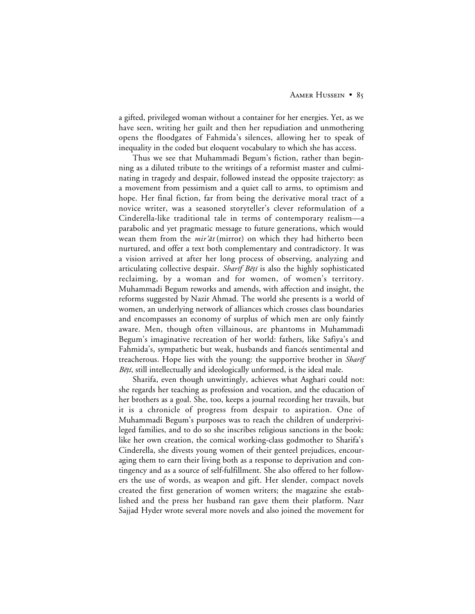a gifted, privileged woman without a container for her energies. Yet, as we have seen, writing her guilt and then her repudiation and unmothering opens the floodgates of Fahmida's silences, allowing her to speak of inequality in the coded but eloquent vocabulary to which she has access.

Thus we see that Muhammadi Begum's fiction, rather than beginning as a diluted tribute to the writings of a reformist master and culminating in tragedy and despair, followed instead the opposite trajectory: as a movement from pessimism and a quiet call to arms, to optimism and hope. Her final fiction, far from being the derivative moral tract of a novice writer, was a seasoned storyteller's clever reformulation of a Cinderella-like traditional tale in terms of contemporary realism—a parabolic and yet pragmatic message to future generations, which would wean them from the  $mir^2at$  (mirror) on which they had hitherto been nurtured, and offer a text both complementary and contradictory. It was a vision arrived at after her long process of observing, analyzing and articulating collective despair. *Sharif Bēti* is also the highly sophisticated reclaiming, by a woman and for women, of women's territory. Muhammadi Begum reworks and amends, with affection and insight, the reforms suggested by Nazir Ahmad. The world she presents is a world of women, an underlying network of alliances which crosses class boundaries and encompasses an economy of surplus of which men are only faintly aware. Men, though often villainous, are phantoms in Muhammadi Begum's imaginative recreation of her world: fathers, like Safiya's and Fahmida's, sympathetic but weak, husbands and fiancés sentimental and treacherous. Hope lies with the young: the supportive brother in *Sharif*  $B\bar{e}$ *ti*, still intellectually and ideologically unformed, is the ideal male.

Sharifa, even though unwittingly, achieves what Asghari could not: she regards her teaching as profession and vocation, and the education of her brothers as a goal. She, too, keeps a journal recording her travails, but it is a chronicle of progress from despair to aspiration. One of Muhammadi Begum's purposes was to reach the children of underprivileged families, and to do so she inscribes religious sanctions in the book: like her own creation, the comical working-class godmother to Sharifa's Cinderella, she divests young women of their genteel prejudices, encouraging them to earn their living both as a response to deprivation and contingency and as a source of self-fulfillment. She also offered to her followers the use of words, as weapon and gift. Her slender, compact novels created the first generation of women writers; the magazine she established and the press her husband ran gave them their platform. Nazr Sajjad Hyder wrote several more novels and also joined the movement for